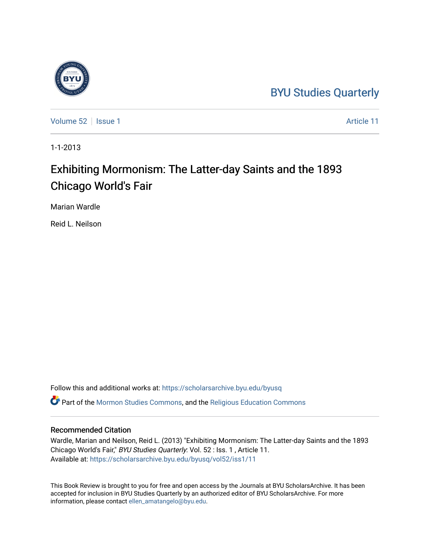## [BYU Studies Quarterly](https://scholarsarchive.byu.edu/byusq)

[Volume 52](https://scholarsarchive.byu.edu/byusq/vol52) | [Issue 1](https://scholarsarchive.byu.edu/byusq/vol52/iss1) Article 11

1-1-2013

## Exhibiting Mormonism: The Latter-day Saints and the 1893 Chicago World's Fair

Marian Wardle

Reid L. Neilson

Follow this and additional works at: [https://scholarsarchive.byu.edu/byusq](https://scholarsarchive.byu.edu/byusq?utm_source=scholarsarchive.byu.edu%2Fbyusq%2Fvol52%2Fiss1%2F11&utm_medium=PDF&utm_campaign=PDFCoverPages)  Part of the [Mormon Studies Commons](http://network.bepress.com/hgg/discipline/1360?utm_source=scholarsarchive.byu.edu%2Fbyusq%2Fvol52%2Fiss1%2F11&utm_medium=PDF&utm_campaign=PDFCoverPages), and the [Religious Education Commons](http://network.bepress.com/hgg/discipline/1414?utm_source=scholarsarchive.byu.edu%2Fbyusq%2Fvol52%2Fiss1%2F11&utm_medium=PDF&utm_campaign=PDFCoverPages) 

## Recommended Citation

Wardle, Marian and Neilson, Reid L. (2013) "Exhibiting Mormonism: The Latter-day Saints and the 1893 Chicago World's Fair," BYU Studies Quarterly: Vol. 52 : Iss. 1 , Article 11. Available at: [https://scholarsarchive.byu.edu/byusq/vol52/iss1/11](https://scholarsarchive.byu.edu/byusq/vol52/iss1/11?utm_source=scholarsarchive.byu.edu%2Fbyusq%2Fvol52%2Fiss1%2F11&utm_medium=PDF&utm_campaign=PDFCoverPages) 

This Book Review is brought to you for free and open access by the Journals at BYU ScholarsArchive. It has been accepted for inclusion in BYU Studies Quarterly by an authorized editor of BYU ScholarsArchive. For more information, please contact [ellen\\_amatangelo@byu.edu.](mailto:ellen_amatangelo@byu.edu)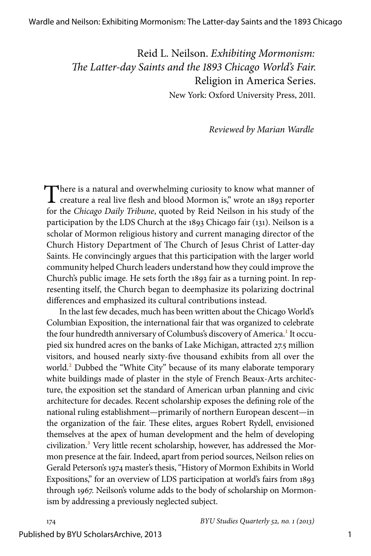Reid L. Neilson. *Exhibiting Mormonism: The Latter-day Saints and the 1893 Chicago World's Fair.* Religion in America Series.

New York: Oxford University Press, 2011.

*Reviewed by Marian Wardle*

There is a natural and overwhelming curiosity to know what manner of creature a real live flesh and blood Mormon is," wrote an 1893 reporter for the *Chicago Daily Tribune*, quoted by Reid Neilson in his study of the participation by the LDS Church at the 1893 Chicago fair (131). Neilson is a scholar of Mormon religious history and current managing director of the Church History Department of The Church of Jesus Christ of Latter-day Saints. He convincingly argues that this participation with the larger world community helped Church leaders understand how they could improve the Church's public image. He sets forth the 1893 fair as a turning point. In representing itself, the Church began to deemphasize its polarizing doctrinal differences and emphasized its cultural contributions instead.

<span id="page-1-2"></span><span id="page-1-1"></span><span id="page-1-0"></span>In the last few decades, much has been written about the Chicago World's Columbian Exposition, the international fair that was organized to celebrate the four hundredth anniversary of Columbus's discovery of America.<sup>[1](#page-5-0)</sup> It occupied six hundred acres on the banks of Lake Michigan, attracted 27.5 million visitors, and housed nearly sixty-five thousand exhibits from all over the world.<sup>2</sup> Dubbed the "White City" because of its many elaborate temporary white buildings made of plaster in the style of French Beaux-Arts architecture, the exposition set the standard of American urban planning and civic architecture for decades. Recent scholarship exposes the defining role of the national ruling establishment—primarily of northern European descent—in the organization of the fair. These elites, argues Robert Rydell, envisioned themselves at the apex of human development and the helm of developing civilization.<sup>[3](#page-5-2)</sup> Very little recent scholarship, however, has addressed the Mormon presence at the fair. Indeed, apart from period sources, Neilson relies on Gerald Peterson's 1974 master's thesis, "History of Mormon Exhibits in World Expositions," for an overview of LDS participation at world's fairs from 1893 through 1967. Neilson's volume adds to the body of scholarship on Mormonism by addressing a previously neglected subject.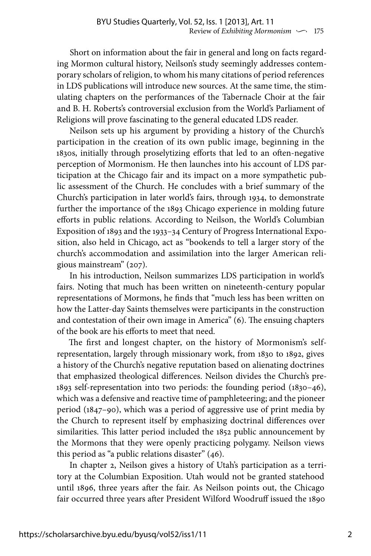Short on information about the fair in general and long on facts regarding Mormon cultural history, Neilson's study seemingly addresses contemporary scholars of religion, to whom his many citations of period references in LDS publications will introduce new sources. At the same time, the stimulating chapters on the performances of the Tabernacle Choir at the fair and B. H. Roberts's controversial exclusion from the World's Parliament of Religions will prove fascinating to the general educated LDS reader.

Neilson sets up his argument by providing a history of the Church's participation in the creation of its own public image, beginning in the 1830s, initially through proselytizing efforts that led to an often-negative perception of Mormonism. He then launches into his account of LDS participation at the Chicago fair and its impact on a more sympathetic public assessment of the Church. He concludes with a brief summary of the Church's participation in later world's fairs, through 1934, to demonstrate further the importance of the 1893 Chicago experience in molding future efforts in public relations. According to Neilson, the World's Columbian Exposition of 1893 and the 1933–34 Century of Progress International Exposition, also held in Chicago, act as "bookends to tell a larger story of the church's accommodation and assimilation into the larger American religious mainstream" (207).

In his introduction, Neilson summarizes LDS participation in world's fairs. Noting that much has been written on nineteenth-century popular representations of Mormons, he finds that "much less has been written on how the Latter-day Saints themselves were participants in the construction and contestation of their own image in America" (6). The ensuing chapters of the book are his efforts to meet that need.

The first and longest chapter, on the history of Mormonism's selfrepresentation, largely through missionary work, from 1830 to 1892, gives a history of the Church's negative reputation based on alienating doctrines that emphasized theological differences. Neilson divides the Church's pre-1893 self-representation into two periods: the founding period (1830–46), which was a defensive and reactive time of pamphleteering; and the pioneer period (1847–90), which was a period of aggressive use of print media by the Church to represent itself by emphasizing doctrinal differences over similarities. This latter period included the 1852 public announcement by the Mormons that they were openly practicing polygamy. Neilson views this period as "a public relations disaster" (46).

In chapter 2, Neilson gives a history of Utah's participation as a territory at the Columbian Exposition. Utah would not be granted statehood until 1896, three years after the fair. As Neilson points out, the Chicago fair occurred three years after President Wilford Woodruff issued the 1890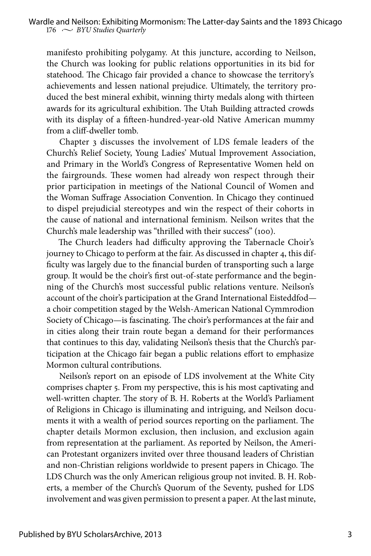manifesto prohibiting polygamy. At this juncture, according to Neilson, the Church was looking for public relations opportunities in its bid for statehood. The Chicago fair provided a chance to showcase the territory's achievements and lessen national prejudice. Ultimately, the territory produced the best mineral exhibit, winning thirty medals along with thirteen awards for its agricultural exhibition. The Utah Building attracted crowds with its display of a fifteen-hundred-year-old Native American mummy from a cliff-dweller tomb.

Chapter 3 discusses the involvement of LDS female leaders of the Church's Relief Society, Young Ladies' Mutual Improvement Association, and Primary in the World's Congress of Representative Women held on the fairgrounds. These women had already won respect through their prior participation in meetings of the National Council of Women and the Woman Suffrage Association Convention. In Chicago they continued to dispel prejudicial stereotypes and win the respect of their cohorts in the cause of national and international feminism. Neilson writes that the Church's male leadership was "thrilled with their success" (100).

The Church leaders had difficulty approving the Tabernacle Choir's journey to Chicago to perform at the fair. As discussed in chapter 4, this difficulty was largely due to the financial burden of transporting such a large group. It would be the choir's first out-of-state performance and the beginning of the Church's most successful public relations venture. Neilson's account of the choir's participation at the Grand International Eisteddfod a choir competition staged by the Welsh-American National Cymmrodion Society of Chicago—is fascinating. The choir's performances at the fair and in cities along their train route began a demand for their performances that continues to this day, validating Neilson's thesis that the Church's participation at the Chicago fair began a public relations effort to emphasize Mormon cultural contributions.

Neilson's report on an episode of LDS involvement at the White City comprises chapter 5. From my perspective, this is his most captivating and well-written chapter. The story of B. H. Roberts at the World's Parliament of Religions in Chicago is illuminating and intriguing, and Neilson documents it with a wealth of period sources reporting on the parliament. The chapter details Mormon exclusion, then inclusion, and exclusion again from representation at the parliament. As reported by Neilson, the American Protestant organizers invited over three thousand leaders of Christian and non-Christian religions worldwide to present papers in Chicago. The LDS Church was the only American religious group not invited. B. H. Roberts, a member of the Church's Quorum of the Seventy, pushed for LDS involvement and was given permission to present a paper. At the last minute,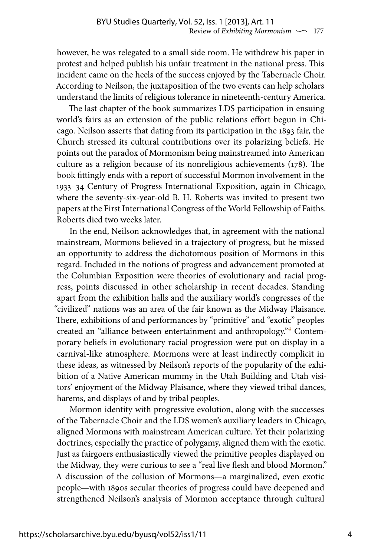however, he was relegated to a small side room. He withdrew his paper in protest and helped publish his unfair treatment in the national press. This incident came on the heels of the success enjoyed by the Tabernacle Choir. According to Neilson, the juxtaposition of the two events can help scholars understand the limits of religious tolerance in nineteenth-century America.

The last chapter of the book summarizes LDS participation in ensuing world's fairs as an extension of the public relations effort begun in Chicago. Neilson asserts that dating from its participation in the 1893 fair, the Church stressed its cultural contributions over its polarizing beliefs. He points out the paradox of Mormonism being mainstreamed into American culture as a religion because of its nonreligious achievements (178). The book fittingly ends with a report of successful Mormon involvement in the 1933–34 Century of Progress International Exposition, again in Chicago, where the seventy-six-year-old B. H. Roberts was invited to present two papers at the First International Congress of the World Fellowship of Faiths. Roberts died two weeks later.

In the end, Neilson acknowledges that, in agreement with the national mainstream, Mormons believed in a trajectory of progress, but he missed an opportunity to address the dichotomous position of Mormons in this regard. Included in the notions of progress and advancement promoted at the Columbian Exposition were theories of evolutionary and racial progress, points discussed in other scholarship in recent decades. Standing apart from the exhibition halls and the auxiliary world's congresses of the "civilized" nations was an area of the fair known as the Midway Plaisance. There, exhibitions of and performances by "primitive" and "exotic" peoples created an "alliance between entertainment and anthropology.["4](#page-5-3) Contemporary beliefs in evolutionary racial progression were put on display in a carnival-like atmosphere. Mormons were at least indirectly complicit in these ideas, as witnessed by Neilson's reports of the popularity of the exhibition of a Native American mummy in the Utah Building and Utah visitors' enjoyment of the Midway Plaisance, where they viewed tribal dances, harems, and displays of and by tribal peoples.

<span id="page-4-0"></span>Mormon identity with progressive evolution, along with the successes of the Tabernacle Choir and the LDS women's auxiliary leaders in Chicago, aligned Mormons with mainstream American culture. Yet their polarizing doctrines, especially the practice of polygamy, aligned them with the exotic. Just as fairgoers enthusiastically viewed the primitive peoples displayed on the Midway, they were curious to see a "real live flesh and blood Mormon." A discussion of the collusion of Mormons—a marginalized, even exotic people—with 1890s secular theories of progress could have deepened and strengthened Neilson's analysis of Mormon acceptance through cultural